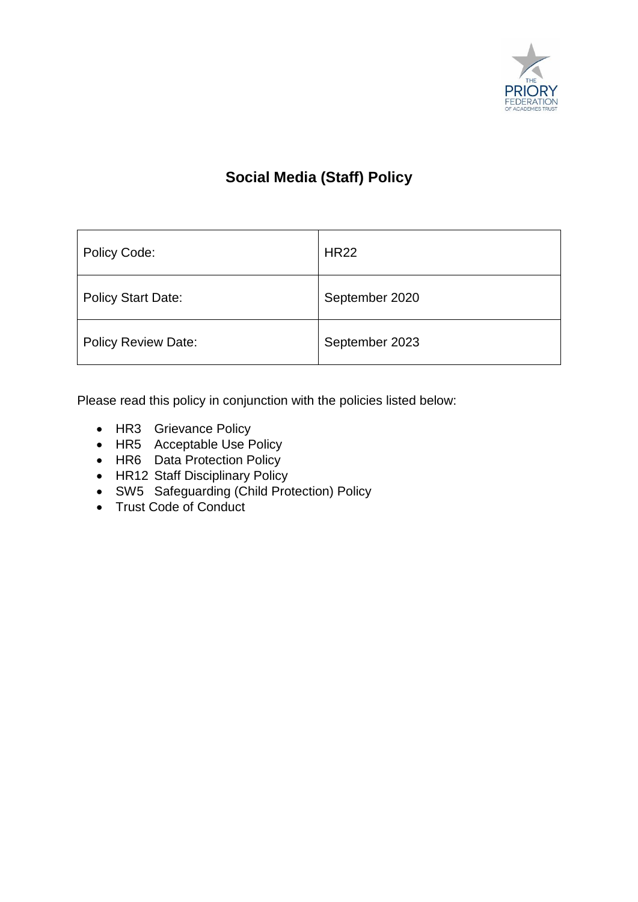

# **Social Media (Staff) Policy**

| Policy Code:               | <b>HR22</b>    |
|----------------------------|----------------|
| <b>Policy Start Date:</b>  | September 2020 |
| <b>Policy Review Date:</b> | September 2023 |

Please read this policy in conjunction with the policies listed below:

- HR3 Grievance Policy
- HR5 Acceptable Use Policy
- HR6 Data Protection Policy
- HR12 Staff Disciplinary Policy
- SW5 Safeguarding (Child Protection) Policy
- Trust Code of Conduct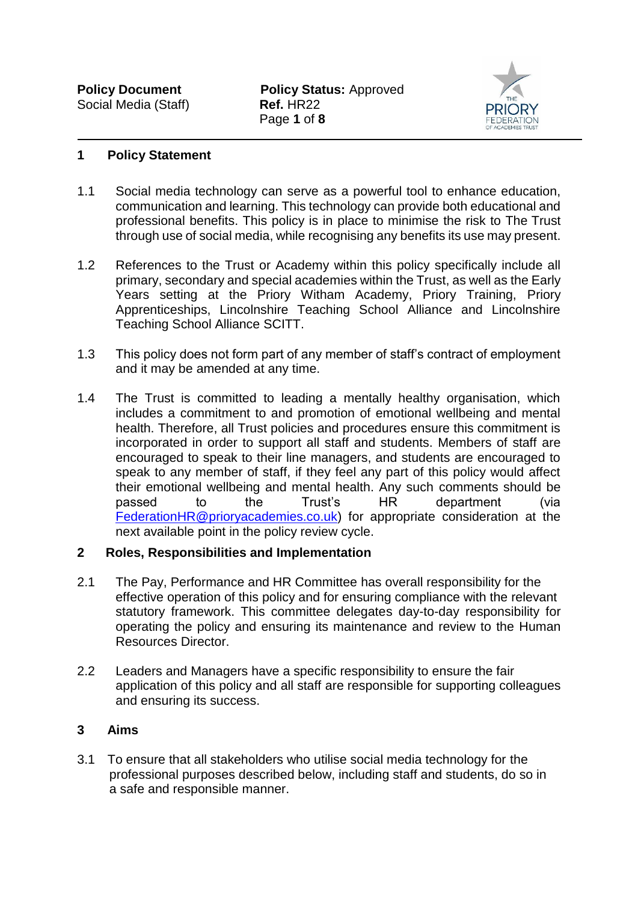

#### **1 Policy Statement**

- 1.1 Social media technology can serve as a powerful tool to enhance education, communication and learning. This technology can provide both educational and professional benefits. This policy is in place to minimise the risk to The Trust through use of social media, while recognising any benefits its use may present.
- 1.2 References to the Trust or Academy within this policy specifically include all primary, secondary and special academies within the Trust, as well as the Early Years setting at the Priory Witham Academy, Priory Training, Priory Apprenticeships, Lincolnshire Teaching School Alliance and Lincolnshire Teaching School Alliance SCITT.
- 1.3 This policy does not form part of any member of staff's contract of employment and it may be amended at any time.
- 1.4 The Trust is committed to leading a mentally healthy organisation, which includes a commitment to and promotion of emotional wellbeing and mental health. Therefore, all Trust policies and procedures ensure this commitment is incorporated in order to support all staff and students. Members of staff are encouraged to speak to their line managers, and students are encouraged to speak to any member of staff, if they feel any part of this policy would affect their emotional wellbeing and mental health. Any such comments should be passed to the Trust's HR department (via passed to the Trust's HR department (via [FederationHR@prioryacademies.co.uk\)](mailto:FederationHR@prioryacademies.co.uk) for appropriate consideration at the next available point in the policy review cycle.

### **2 Roles, Responsibilities and Implementation**

- 2.1 The Pay, Performance and HR Committee has overall responsibility for the effective operation of this policy and for ensuring compliance with the relevant statutory framework. This committee delegates day-to-day responsibility for operating the policy and ensuring its maintenance and review to the Human Resources Director.
- 2.2 Leaders and Managers have a specific responsibility to ensure the fair application of this policy and all staff are responsible for supporting colleagues and ensuring its success.

### **3 Aims**

3.1 To ensure that all stakeholders who utilise social media technology for the professional purposes described below, including staff and students, do so in a safe and responsible manner.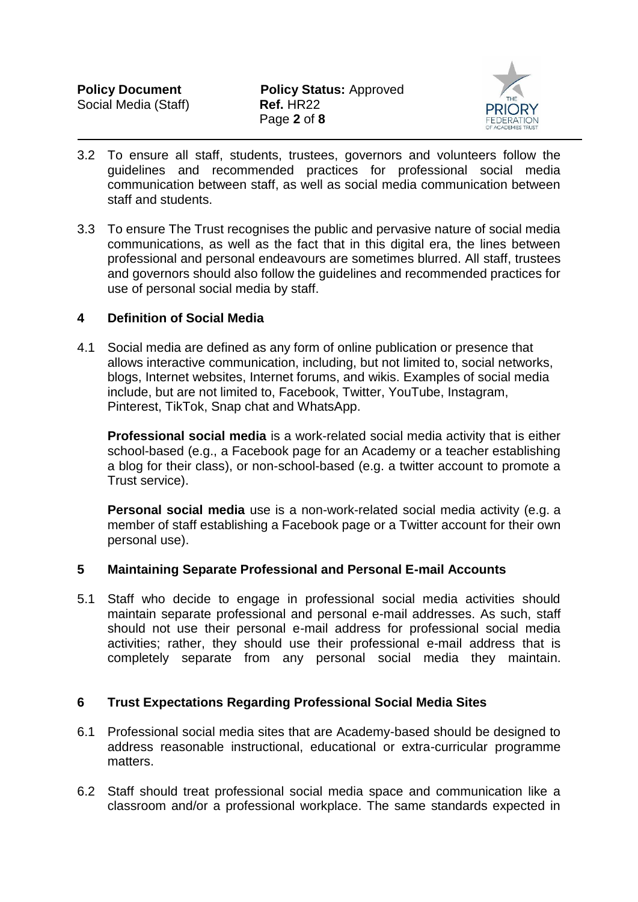

- 3.2 To ensure all staff, students, trustees, governors and volunteers follow the guidelines and recommended practices for professional social media communication between staff, as well as social media communication between staff and students.
- 3.3 To ensure The Trust recognises the public and pervasive nature of social media communications, as well as the fact that in this digital era, the lines between professional and personal endeavours are sometimes blurred. All staff, trustees and governors should also follow the guidelines and recommended practices for use of personal social media by staff.

### **4 Definition of Social Media**

4.1 Social media are defined as any form of online publication or presence that allows interactive communication, including, but not limited to, social networks, blogs, Internet websites, Internet forums, and wikis. Examples of social media include, but are not limited to, Facebook, Twitter, YouTube, Instagram, Pinterest, TikTok, Snap chat and WhatsApp.

**Professional social media** is a work-related social media activity that is either school-based (e.g., a Facebook page for an Academy or a teacher establishing a blog for their class), or non-school-based (e.g. a twitter account to promote a Trust service).

**Personal social media** use is a non-work-related social media activity (e.g. a member of staff establishing a Facebook page or a Twitter account for their own personal use).

#### **5 Maintaining Separate Professional and Personal E-mail Accounts**

5.1 Staff who decide to engage in professional social media activities should maintain separate professional and personal e-mail addresses. As such, staff should not use their personal e-mail address for professional social media activities; rather, they should use their professional e-mail address that is completely separate from any personal social media they maintain.

### **6 Trust Expectations Regarding Professional Social Media Sites**

- 6.1 Professional social media sites that are Academy-based should be designed to address reasonable instructional, educational or extra-curricular programme matters.
- 6.2 Staff should treat professional social media space and communication like a classroom and/or a professional workplace. The same standards expected in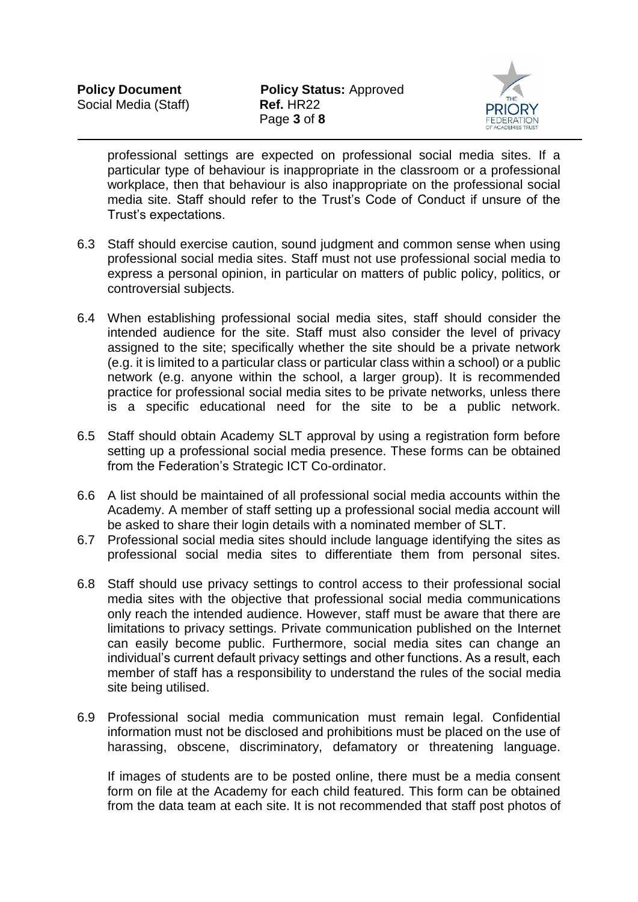

professional settings are expected on professional social media sites. If a particular type of behaviour is inappropriate in the classroom or a professional workplace, then that behaviour is also inappropriate on the professional social media site. Staff should refer to the Trust's Code of Conduct if unsure of the Trust's expectations.

- 6.3 Staff should exercise caution, sound judgment and common sense when using professional social media sites. Staff must not use professional social media to express a personal opinion, in particular on matters of public policy, politics, or controversial subjects.
- 6.4 When establishing professional social media sites, staff should consider the intended audience for the site. Staff must also consider the level of privacy assigned to the site; specifically whether the site should be a private network (e.g. it is limited to a particular class or particular class within a school) or a public network (e.g. anyone within the school, a larger group). It is recommended practice for professional social media sites to be private networks, unless there is a specific educational need for the site to be a public network.
- 6.5 Staff should obtain Academy SLT approval by using a registration form before setting up a professional social media presence. These forms can be obtained from the Federation's Strategic ICT Co-ordinator.
- 6.6 A list should be maintained of all professional social media accounts within the Academy. A member of staff setting up a professional social media account will be asked to share their login details with a nominated member of SLT.
- 6.7 Professional social media sites should include language identifying the sites as professional social media sites to differentiate them from personal sites.
- 6.8 Staff should use privacy settings to control access to their professional social media sites with the objective that professional social media communications only reach the intended audience. However, staff must be aware that there are limitations to privacy settings. Private communication published on the Internet can easily become public. Furthermore, social media sites can change an individual's current default privacy settings and other functions. As a result, each member of staff has a responsibility to understand the rules of the social media site being utilised.
- 6.9 Professional social media communication must remain legal. Confidential information must not be disclosed and prohibitions must be placed on the use of harassing, obscene, discriminatory, defamatory or threatening language.

If images of students are to be posted online, there must be a media consent form on file at the Academy for each child featured. This form can be obtained from the data team at each site. It is not recommended that staff post photos of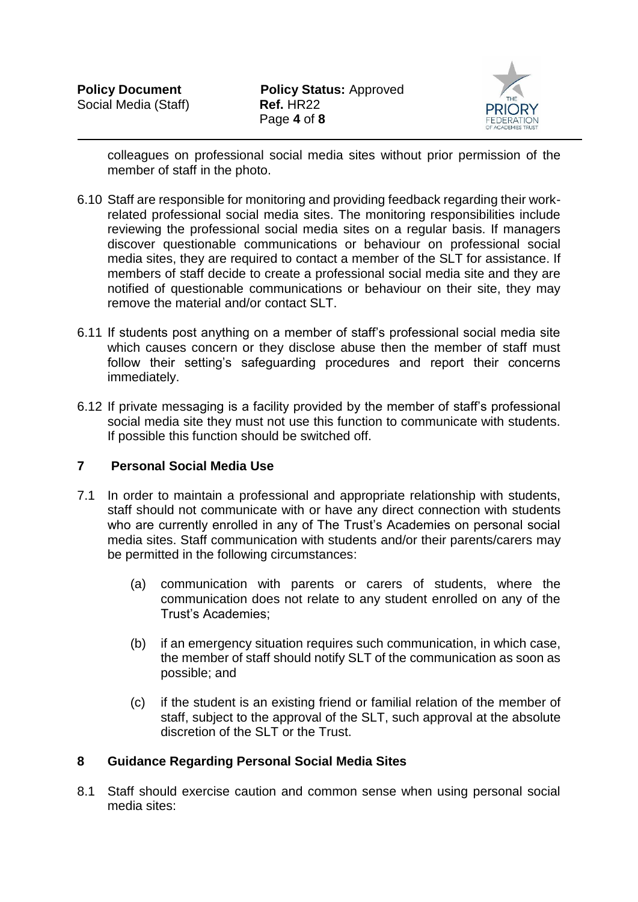

colleagues on professional social media sites without prior permission of the member of staff in the photo.

- 6.10 Staff are responsible for monitoring and providing feedback regarding their workrelated professional social media sites. The monitoring responsibilities include reviewing the professional social media sites on a regular basis. If managers discover questionable communications or behaviour on professional social media sites, they are required to contact a member of the SLT for assistance. If members of staff decide to create a professional social media site and they are notified of questionable communications or behaviour on their site, they may remove the material and/or contact SLT.
- 6.11 If students post anything on a member of staff's professional social media site which causes concern or they disclose abuse then the member of staff must follow their setting's safeguarding procedures and report their concerns immediately.
- 6.12 If private messaging is a facility provided by the member of staff's professional social media site they must not use this function to communicate with students. If possible this function should be switched off.

### **7 Personal Social Media Use**

- 7.1 In order to maintain a professional and appropriate relationship with students, staff should not communicate with or have any direct connection with students who are currently enrolled in any of The Trust's Academies on personal social media sites. Staff communication with students and/or their parents/carers may be permitted in the following circumstances:
	- (a) communication with parents or carers of students, where the communication does not relate to any student enrolled on any of the Trust's Academies;
	- (b) if an emergency situation requires such communication, in which case, the member of staff should notify SLT of the communication as soon as possible; and
	- (c) if the student is an existing friend or familial relation of the member of staff, subject to the approval of the SLT, such approval at the absolute discretion of the SLT or the Trust.

### **8 Guidance Regarding Personal Social Media Sites**

8.1 Staff should exercise caution and common sense when using personal social media sites: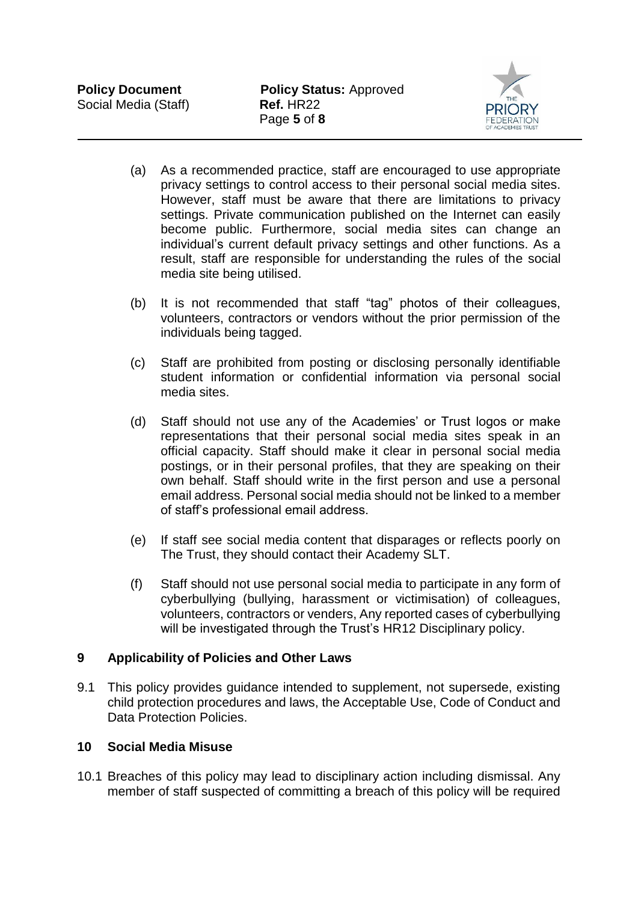

- (a) As a recommended practice, staff are encouraged to use appropriate privacy settings to control access to their personal social media sites. However, staff must be aware that there are limitations to privacy settings. Private communication published on the Internet can easily become public. Furthermore, social media sites can change an individual's current default privacy settings and other functions. As a result, staff are responsible for understanding the rules of the social media site being utilised.
- (b) It is not recommended that staff "tag" photos of their colleagues, volunteers, contractors or vendors without the prior permission of the individuals being tagged.
- (c) Staff are prohibited from posting or disclosing personally identifiable student information or confidential information via personal social media sites.
- (d) Staff should not use any of the Academies' or Trust logos or make representations that their personal social media sites speak in an official capacity. Staff should make it clear in personal social media postings, or in their personal profiles, that they are speaking on their own behalf. Staff should write in the first person and use a personal email address. Personal social media should not be linked to a member of staff's professional email address.
- (e) If staff see social media content that disparages or reflects poorly on The Trust, they should contact their Academy SLT.
- (f) Staff should not use personal social media to participate in any form of cyberbullying (bullying, harassment or victimisation) of colleagues, volunteers, contractors or venders, Any reported cases of cyberbullying will be investigated through the Trust's HR12 Disciplinary policy.

### **9 Applicability of Policies and Other Laws**

9.1 This policy provides guidance intended to supplement, not supersede, existing child protection procedures and laws, the Acceptable Use, Code of Conduct and Data Protection Policies.

### **10 Social Media Misuse**

10.1 Breaches of this policy may lead to disciplinary action including dismissal. Any member of staff suspected of committing a breach of this policy will be required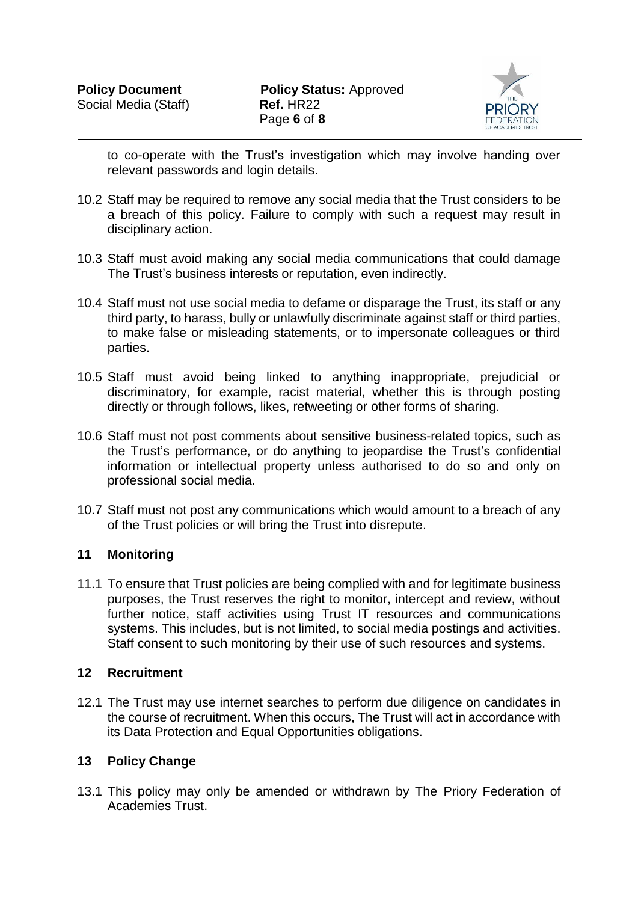

to co-operate with the Trust's investigation which may involve handing over relevant passwords and login details.

- 10.2 Staff may be required to remove any social media that the Trust considers to be a breach of this policy. Failure to comply with such a request may result in disciplinary action.
- 10.3 Staff must avoid making any social media communications that could damage The Trust's business interests or reputation, even indirectly.
- 10.4 Staff must not use social media to defame or disparage the Trust, its staff or any third party, to harass, bully or unlawfully discriminate against staff or third parties, to make false or misleading statements, or to impersonate colleagues or third parties.
- 10.5 Staff must avoid being linked to anything inappropriate, prejudicial or discriminatory, for example, racist material, whether this is through posting directly or through follows, likes, retweeting or other forms of sharing.
- 10.6 Staff must not post comments about sensitive business-related topics, such as the Trust's performance, or do anything to jeopardise the Trust's confidential information or intellectual property unless authorised to do so and only on professional social media.
- 10.7 Staff must not post any communications which would amount to a breach of any of the Trust policies or will bring the Trust into disrepute.

### **11 Monitoring**

11.1 To ensure that Trust policies are being complied with and for legitimate business purposes, the Trust reserves the right to monitor, intercept and review, without further notice, staff activities using Trust IT resources and communications systems. This includes, but is not limited, to social media postings and activities. Staff consent to such monitoring by their use of such resources and systems.

#### **12 Recruitment**

12.1 The Trust may use internet searches to perform due diligence on candidates in the course of recruitment. When this occurs, The Trust will act in accordance with its Data Protection and Equal Opportunities obligations.

### **13 Policy Change**

13.1 This policy may only be amended or withdrawn by The Priory Federation of Academies Trust.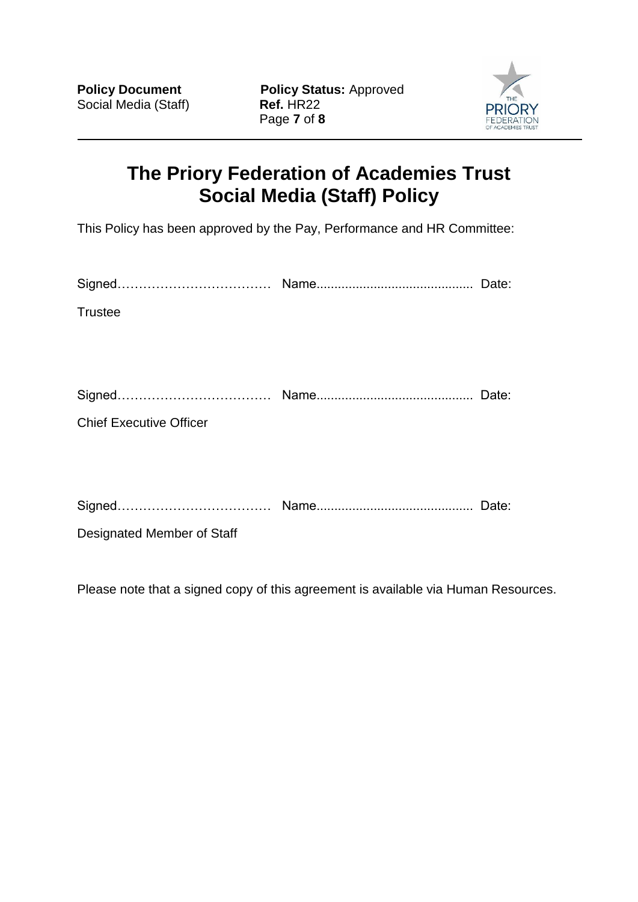**Policy Document Policy Status:** Approved Social Media (Staff) **Ref.** HR22 Page **7** of **8**



# **The Priory Federation of Academies Trust Social Media (Staff) Policy**

This Policy has been approved by the Pay, Performance and HR Committee:

| <b>Trustee</b>                 |       |
|--------------------------------|-------|
|                                |       |
|                                |       |
|                                |       |
| <b>Chief Executive Officer</b> |       |
|                                |       |
|                                |       |
|                                | Date: |

Designated Member of Staff

Please note that a signed copy of this agreement is available via Human Resources.